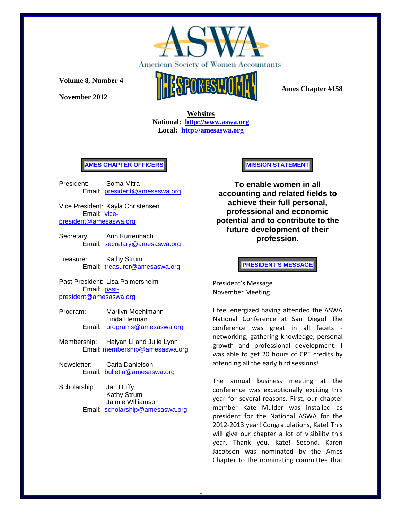

**November 2012** 



 **Ames Chapter #158** 

 **Websites National: http://www.aswa.org Local: http://amesaswa.org**

#### **AMES CHAPTER OFFICERS**

President: Soma Mitra Email: president@amesaswa.org

Vice President: Kayla Christensen Email: vicepresident@amesaswa.org

- Secretary: Ann Kurtenbach Email: secretary@amesaswa.org
- Treasurer: Kathy Strum Email: treasurer@amesaswa.org

Past President: Lisa Palmersheim Email: pastpresident@amesaswa.org

- Program: Marilyn Moehlmann Linda Herman Email: programs@amesaswa.org
- Membership: Haiyan Li and Julie Lyon Email: membership@amesaswa.org
- Newsletter: Carla Danielson Email: bulletin@amesaswa.org
- Scholarship: Jan Duffy Kathy Strum Jaimie Williamson Email: scholarship@amesaswa.org

#### **MISSION STATEMENT**

**To enable women in all accounting and related fields to achieve their full personal, professional and economic potential and to contribute to the future development of their profession.**

**PRESIDENT'S MESSAGE** 

President's Message November Meeting

I feel energized having attended the ASWA National Conference at San Diego! The conference was great in all facets ‐ networking, gathering knowledge, personal growth and professional development. I was able to get 20 hours of CPE credits by attending all the early bird sessions!

The annual business meeting at the conference was exceptionally exciting this year for several reasons. First, our chapter member Kate Mulder was installed as president for the National ASWA for the 2012‐2013 year! Congratulations, Kate! This will give our chapter a lot of visibility this year. Thank you, Kate! Second, Karen Jacobson was nominated by the Ames Chapter to the nominating committee that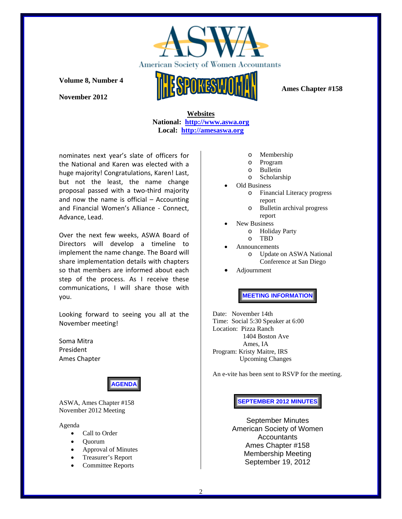

**November 2012** 

 **Ames Chapter #158** 

 **Websites National: http://www.aswa.org Local: http://amesaswa.org**

nominates next year's slate of officers for the National and Karen was elected with a huge majority! Congratulations, Karen! Last, but not the least, the name change proposal passed with a two‐third majority and now the name is official  $-$  Accounting and Financial Women's Alliance ‐ Connect, Advance, Lead.

Over the next few weeks, ASWA Board of Directors will develop a timeline to implement the name change. The Board will share implementation details with chapters so that members are informed about each step of the process. As I receive these communications, I will share those with you.

Looking forward to seeing you all at the November meeting!

Soma Mitra President Ames Chapter



ASWA, Ames Chapter #158 November 2012 Meeting

Agenda

- Call to Order
- Quorum
- Approval of Minutes
- Treasurer's Report
- Committee Reports
- o Membership
- o Program
- o Bulletin
- o Scholarship
- Old Business
	- o Financial Literacy progress report
	- o Bulletin archival progress
- report
	- New Business
		- o Holiday Party
	- o TBD
	- Announcements o Update on ASWA National Conference at San Diego
- Adjournment

**MEETING INFORMATION** 

Date: November 14th Time: Social 5:30 Speaker at 6:00 Location: Pizza Ranch 1404 Boston Ave Ames, IA Program: Kristy Maitre, IRS Upcoming Changes

An e-vite has been sent to RSVP for the meeting.

#### **SEPTEMBER 2012 MINUTES**

September Minutes American Society of Women **Accountants** Ames Chapter #158 Membership Meeting September 19, 2012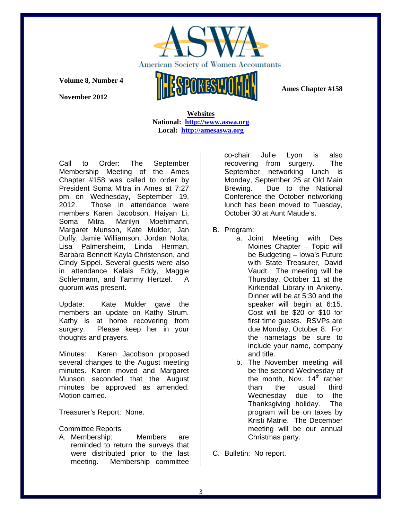

**November 2012** 



 **Ames Chapter #158** 

 **Websites National: http://www.aswa.org Local: http://amesaswa.org**

Call to Order: The September Membership Meeting of the Ames Chapter #158 was called to order by President Soma Mitra in Ames at 7:27 pm on Wednesday, September 19, 2012. Those in attendance were members Karen Jacobson, Haiyan Li, Soma Mitra, Marilyn Moehlmann, Margaret Munson, Kate Mulder, Jan Duffy, Jamie Williamson, Jordan Nolta, Lisa Palmersheim, Linda Herman, Barbara Bennett Kayla Christenson, and Cindy Sippel. Several guests were also in attendance Kalais Eddy, Maggie Schlermann, and Tammy Hertzel. A quorum was present.

Update: Kate Mulder gave the members an update on Kathy Strum. Kathy is at home recovering from surgery. Please keep her in your thoughts and prayers.

Minutes: Karen Jacobson proposed several changes to the August meeting minutes. Karen moved and Margaret Munson seconded that the August minutes be approved as amended. Motion carried.

Treasurer's Report: None.

### Committee Reports

A. Membership: Members are reminded to return the surveys that were distributed prior to the last meeting. Membership committee

co-chair Julie Lyon is also recovering from surgery. The September networking lunch is Monday, September 25 at Old Main Brewing. Due to the National Conference the October networking lunch has been moved to Tuesday, October 30 at Aunt Maude's.

- B. Program:
	- a. Joint Meeting with Des Moines Chapter – Topic will be Budgeting – Iowa's Future with State Treasurer, David Vaudt. The meeting will be Thursday, October 11 at the Kirkendall Library in Ankeny. Dinner will be at 5:30 and the speaker will begin at 6:15. Cost will be \$20 or \$10 for first time guests. RSVPs are due Monday, October 8. For the nametags be sure to include your name, company and title.
	- b. The November meeting will be the second Wednesday of the month, Nov.  $14<sup>th</sup>$  rather than the usual third Wednesday due to the Thanksgiving holiday. The program will be on taxes by Kristi Matrie. The December meeting will be our annual Christmas party.
- C. Bulletin: No report.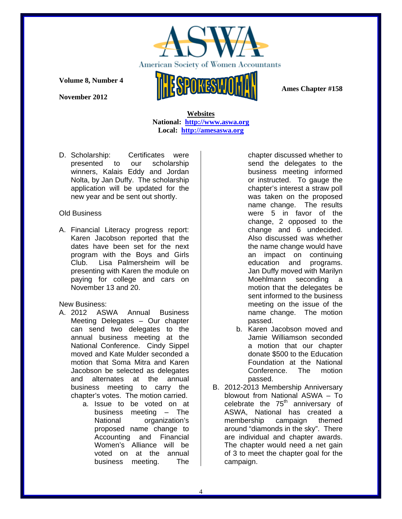

**November 2012** 



 **Ames Chapter #158** 

 **Websites National: http://www.aswa.org Local: http://amesaswa.org**

D. Scholarship: Certificates were presented to our scholarship winners, Kalais Eddy and Jordan Nolta, by Jan Duffy. The scholarship application will be updated for the new year and be sent out shortly.

## Old Business

A. Financial Literacy progress report: Karen Jacobson reported that the dates have been set for the next program with the Boys and Girls Club. Lisa Palmersheim will be presenting with Karen the module on paying for college and cars on November 13 and 20.

#### New Business:

- A. 2012 ASWA Annual Business Meeting Delegates – Our chapter can send two delegates to the annual business meeting at the National Conference. Cindy Sippel moved and Kate Mulder seconded a motion that Soma Mitra and Karen Jacobson be selected as delegates and alternates at the annual business meeting to carry the chapter's votes. The motion carried.
	- a. Issue to be voted on at business meeting – The National organization's proposed name change to Accounting and Financial Women's Alliance will be voted on at the annual business meeting. The

chapter discussed whether to send the delegates to the business meeting informed or instructed. To gauge the chapter's interest a straw poll was taken on the proposed name change. The results were 5 in favor of the change, 2 opposed to the change and 6 undecided. Also discussed was whether the name change would have an impact on continuing education and programs. Jan Duffy moved with Marilyn Moehlmann seconding a motion that the delegates be sent informed to the business meeting on the issue of the name change. The motion passed.

- b. Karen Jacobson moved and Jamie Williamson seconded a motion that our chapter donate \$500 to the Education Foundation at the National Conference. The motion passed.
- B. 2012-2013 Membership Anniversary blowout from National ASWA – To celebrate the  $75<sup>th</sup>$  anniversary of ASWA, National has created a membership campaign themed around "diamonds in the sky". There are individual and chapter awards. The chapter would need a net gain of 3 to meet the chapter goal for the campaign.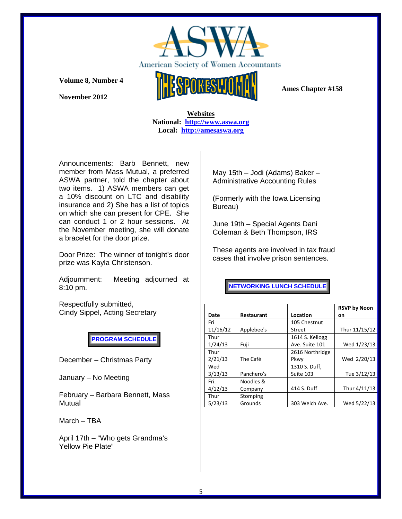

**November 2012** 



 **Websites National: http://www.aswa.org Local: http://amesaswa.org**

Announcements: Barb Bennett, new member from Mass Mutual, a preferred ASWA partner, told the chapter about two items. 1) ASWA members can get a 10% discount on LTC and disability insurance and 2) She has a list of topics on which she can present for CPE. She can conduct 1 or 2 hour sessions. At the November meeting, she will donate a bracelet for the door prize.

Door Prize: The winner of tonight's door prize was Kayla Christenson.

Adjournment: Meeting adjourned at 8:10 pm.

Respectfully submitted, Cindy Sippel, Acting Secretary

**PROGRAM SCHEDULE** 

December – Christmas Party

January – No Meeting

February – Barbara Bennett, Mass Mutual

March – TBA

April 17th – "Who gets Grandma's Yellow Pie Plate"

May 15th – Jodi (Adams) Baker – Administrative Accounting Rules

(Formerly with the Iowa Licensing Bureau)

June 19th – Special Agents Dani Coleman & Beth Thompson, IRS

These agents are involved in tax fraud cases that involve prison sentences.

**NETWORKING LUNCH SCHEDULE** 

|          |                   |                 | <b>RSVP by Noon</b> |
|----------|-------------------|-----------------|---------------------|
| Date     | <b>Restaurant</b> | Location        | on                  |
| Fri      |                   | 105 Chestnut    |                     |
| 11/16/12 | Applebee's        | <b>Street</b>   | Thur 11/15/12       |
| Thur     |                   | 1614 S. Kellogg |                     |
| 1/24/13  | Fuji              | Ave. Suite 101  | Wed 1/23/13         |
| Thur     |                   | 2616 Northridge |                     |
| 2/21/13  | The Café          | Pkwy            | Wed 2/20/13         |
| Wed      |                   | 1310 S. Duff,   |                     |
| 3/13/13  | Panchero's        | Suite 103       | Tue 3/12/13         |
| Fri.     | Noodles &         |                 |                     |
| 4/12/13  | Company           | 414 S. Duff     | Thur 4/11/13        |
| Thur     | Stomping          |                 |                     |
| 5/23/13  | Grounds           | 303 Welch Ave.  | Wed 5/22/13         |